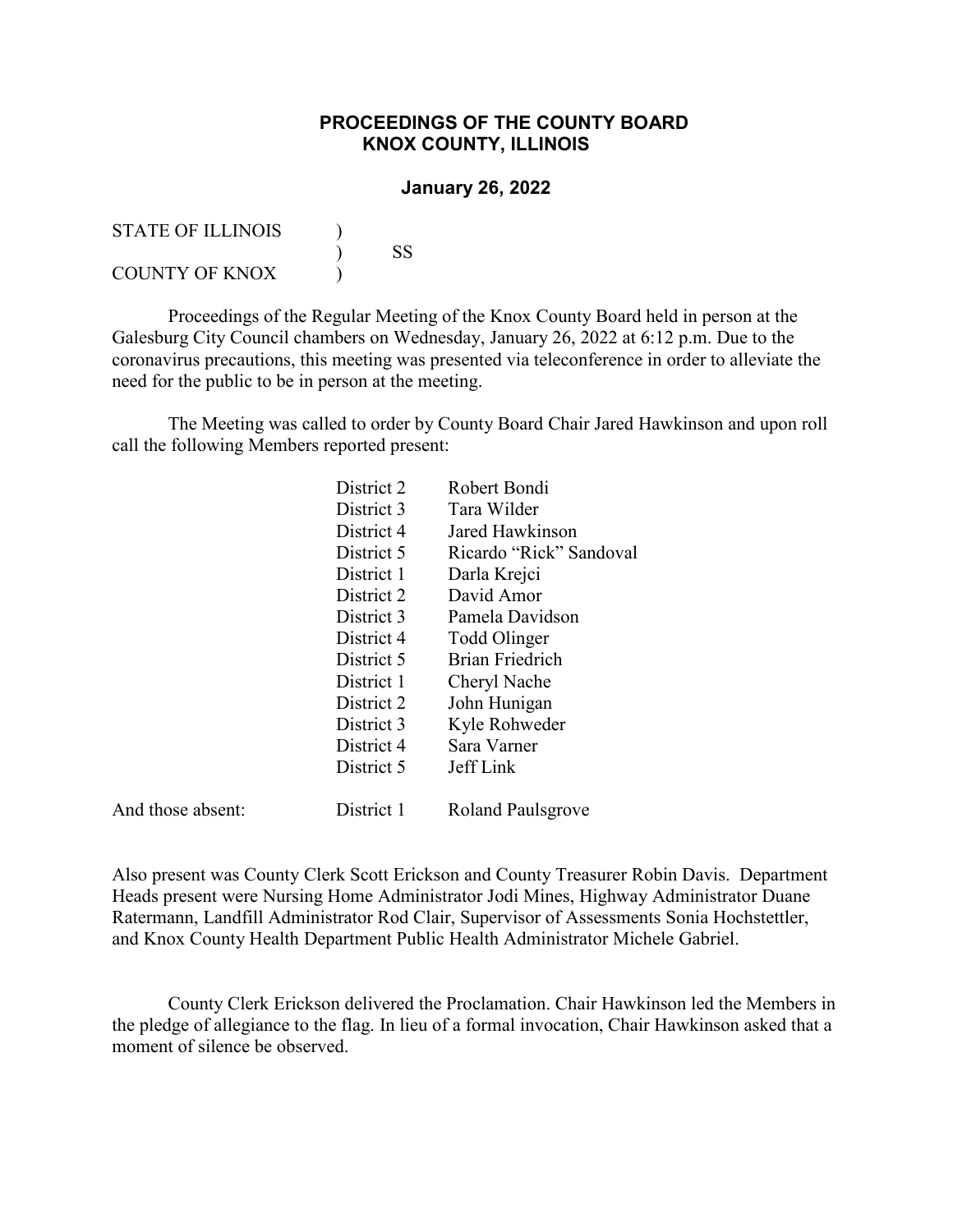## **PROCEEDINGS OF THE COUNTY BOARD KNOX COUNTY, ILLINOIS**

## **January 26, 2022**

| <b>STATE OF ILLINOIS</b> |    |
|--------------------------|----|
|                          | SS |
| <b>COUNTY OF KNOX</b>    |    |

Proceedings of the Regular Meeting of the Knox County Board held in person at the Galesburg City Council chambers on Wednesday, January 26, 2022 at 6:12 p.m. Due to the coronavirus precautions, this meeting was presented via teleconference in order to alleviate the need for the public to be in person at the meeting.

The Meeting was called to order by County Board Chair Jared Hawkinson and upon roll call the following Members reported present:

| District 2         | Robert Bondi                            |
|--------------------|-----------------------------------------|
| District 3         | Tara Wilder                             |
| District 4         | Jared Hawkinson                         |
| District 5         | Ricardo "Rick" Sandoval                 |
| District 1         | Darla Krejci                            |
| District 2         | David Amor                              |
| District 3         | Pamela Davidson                         |
| District 4         | Todd Olinger                            |
| District 5         | <b>Brian Friedrich</b>                  |
| District 1         | Cheryl Nache                            |
| District 2         | John Hunigan                            |
| District 3         | Kyle Rohweder                           |
| District 4         | Sara Varner                             |
| District 5         | Jeff Link                               |
|                    |                                         |
| $\Gamma$ ictrict 1 | $D_{\alpha}$ and $D_{\alpha}$ decreased |

And those absent: District 1 Roland Paulsgrove

Also present was County Clerk Scott Erickson and County Treasurer Robin Davis. Department Heads present were Nursing Home Administrator Jodi Mines, Highway Administrator Duane Ratermann, Landfill Administrator Rod Clair, Supervisor of Assessments Sonia Hochstettler, and Knox County Health Department Public Health Administrator Michele Gabriel.

County Clerk Erickson delivered the Proclamation. Chair Hawkinson led the Members in the pledge of allegiance to the flag. In lieu of a formal invocation, Chair Hawkinson asked that a moment of silence be observed.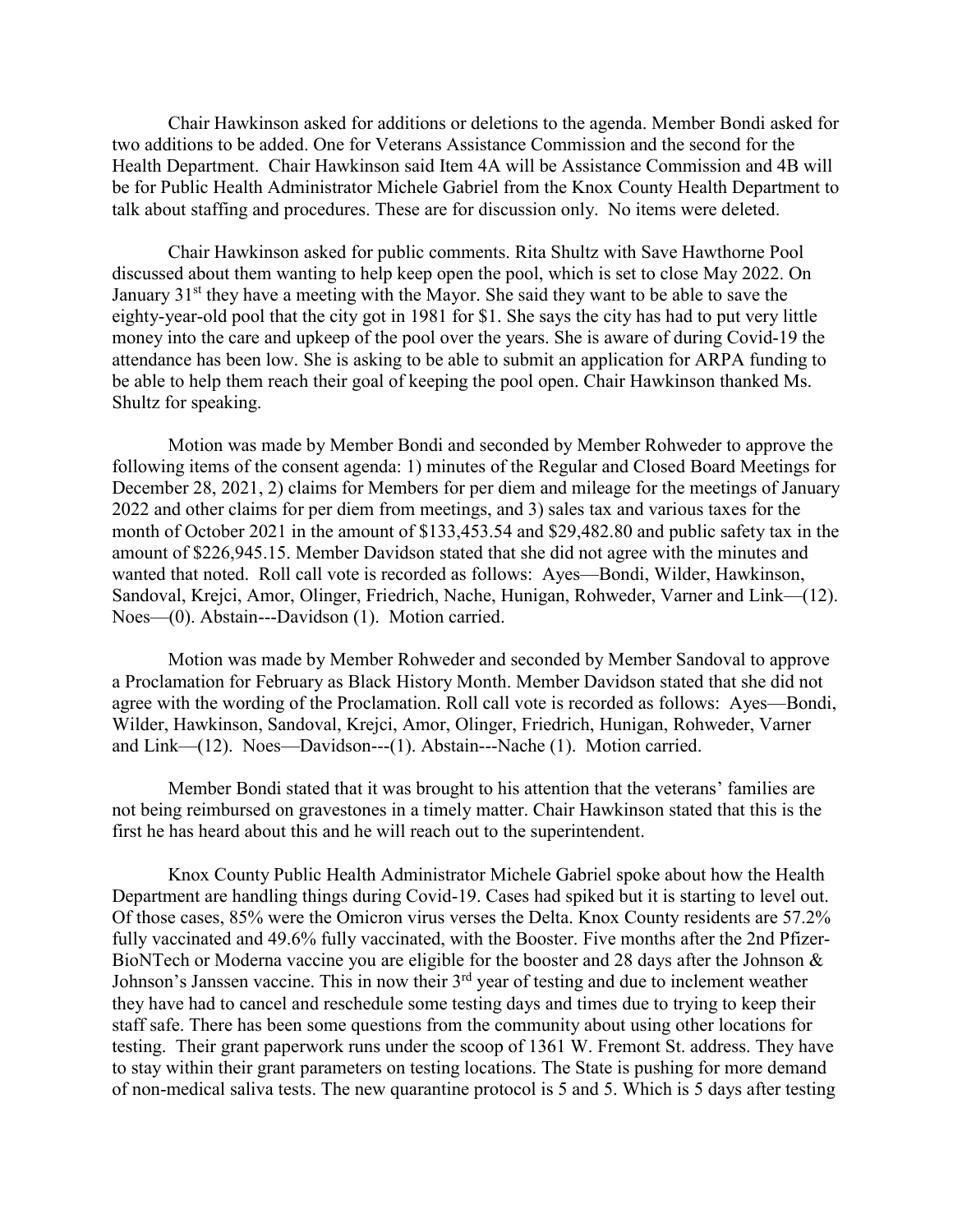Chair Hawkinson asked for additions or deletions to the agenda. Member Bondi asked for two additions to be added. One for Veterans Assistance Commission and the second for the Health Department. Chair Hawkinson said Item 4A will be Assistance Commission and 4B will be for Public Health Administrator Michele Gabriel from the Knox County Health Department to talk about staffing and procedures. These are for discussion only. No items were deleted.

Chair Hawkinson asked for public comments. Rita Shultz with Save Hawthorne Pool discussed about them wanting to help keep open the pool, which is set to close May 2022. On January  $31<sup>st</sup>$  they have a meeting with the Mayor. She said they want to be able to save the eighty-year-old pool that the city got in 1981 for \$1. She says the city has had to put very little money into the care and upkeep of the pool over the years. She is aware of during Covid-19 the attendance has been low. She is asking to be able to submit an application for ARPA funding to be able to help them reach their goal of keeping the pool open. Chair Hawkinson thanked Ms. Shultz for speaking.

Motion was made by Member Bondi and seconded by Member Rohweder to approve the following items of the consent agenda: 1) minutes of the Regular and Closed Board Meetings for December 28, 2021, 2) claims for Members for per diem and mileage for the meetings of January 2022 and other claims for per diem from meetings, and 3) sales tax and various taxes for the month of October 2021 in the amount of \$133,453.54 and \$29,482.80 and public safety tax in the amount of \$226,945.15. Member Davidson stated that she did not agree with the minutes and wanted that noted. Roll call vote is recorded as follows: Ayes—Bondi, Wilder, Hawkinson, Sandoval, Krejci, Amor, Olinger, Friedrich, Nache, Hunigan, Rohweder, Varner and Link—(12). Noes—(0). Abstain---Davidson (1). Motion carried.

Motion was made by Member Rohweder and seconded by Member Sandoval to approve a Proclamation for February as Black History Month. Member Davidson stated that she did not agree with the wording of the Proclamation. Roll call vote is recorded as follows: Ayes—Bondi, Wilder, Hawkinson, Sandoval, Krejci, Amor, Olinger, Friedrich, Hunigan, Rohweder, Varner and Link—(12). Noes—Davidson---(1). Abstain---Nache (1). Motion carried.

Member Bondi stated that it was brought to his attention that the veterans' families are not being reimbursed on gravestones in a timely matter. Chair Hawkinson stated that this is the first he has heard about this and he will reach out to the superintendent.

Knox County Public Health Administrator Michele Gabriel spoke about how the Health Department are handling things during Covid-19. Cases had spiked but it is starting to level out. Of those cases, 85% were the Omicron virus verses the Delta. Knox County residents are 57.2% fully vaccinated and 49.6% fully vaccinated, with the Booster. Five months after the 2nd Pfizer-BioNTech or Moderna vaccine you are eligible for the booster and 28 days after the Johnson & Johnson's Janssen vaccine. This in now their  $3<sup>rd</sup>$  year of testing and due to inclement weather they have had to cancel and reschedule some testing days and times due to trying to keep their staff safe. There has been some questions from the community about using other locations for testing. Their grant paperwork runs under the scoop of 1361 W. Fremont St. address. They have to stay within their grant parameters on testing locations. The State is pushing for more demand of non-medical saliva tests. The new quarantine protocol is 5 and 5. Which is 5 days after testing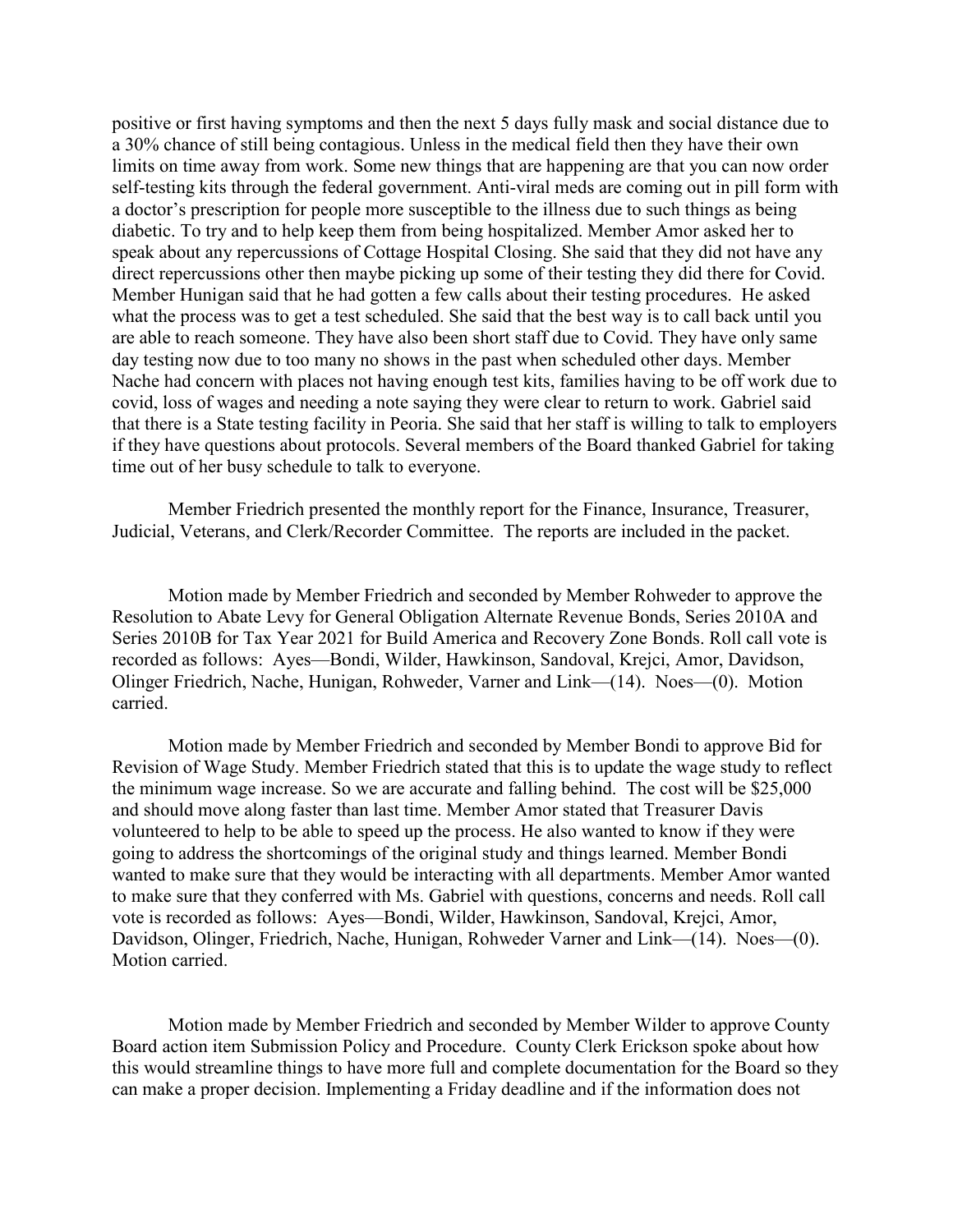positive or first having symptoms and then the next 5 days fully mask and social distance due to a 30% chance of still being contagious. Unless in the medical field then they have their own limits on time away from work. Some new things that are happening are that you can now order self-testing kits through the federal government. Anti-viral meds are coming out in pill form with a doctor's prescription for people more susceptible to the illness due to such things as being diabetic. To try and to help keep them from being hospitalized. Member Amor asked her to speak about any repercussions of Cottage Hospital Closing. She said that they did not have any direct repercussions other then maybe picking up some of their testing they did there for Covid. Member Hunigan said that he had gotten a few calls about their testing procedures. He asked what the process was to get a test scheduled. She said that the best way is to call back until you are able to reach someone. They have also been short staff due to Covid. They have only same day testing now due to too many no shows in the past when scheduled other days. Member Nache had concern with places not having enough test kits, families having to be off work due to covid, loss of wages and needing a note saying they were clear to return to work. Gabriel said that there is a State testing facility in Peoria. She said that her staff is willing to talk to employers if they have questions about protocols. Several members of the Board thanked Gabriel for taking time out of her busy schedule to talk to everyone.

 Member Friedrich presented the monthly report for the Finance, Insurance, Treasurer, Judicial, Veterans, and Clerk/Recorder Committee. The reports are included in the packet.

Motion made by Member Friedrich and seconded by Member Rohweder to approve the Resolution to Abate Levy for General Obligation Alternate Revenue Bonds, Series 2010A and Series 2010B for Tax Year 2021 for Build America and Recovery Zone Bonds. Roll call vote is recorded as follows: Ayes—Bondi, Wilder, Hawkinson, Sandoval, Krejci, Amor, Davidson, Olinger Friedrich, Nache, Hunigan, Rohweder, Varner and Link—(14). Noes—(0). Motion carried.

Motion made by Member Friedrich and seconded by Member Bondi to approve Bid for Revision of Wage Study. Member Friedrich stated that this is to update the wage study to reflect the minimum wage increase. So we are accurate and falling behind. The cost will be \$25,000 and should move along faster than last time. Member Amor stated that Treasurer Davis volunteered to help to be able to speed up the process. He also wanted to know if they were going to address the shortcomings of the original study and things learned. Member Bondi wanted to make sure that they would be interacting with all departments. Member Amor wanted to make sure that they conferred with Ms. Gabriel with questions, concerns and needs. Roll call vote is recorded as follows: Ayes—Bondi, Wilder, Hawkinson, Sandoval, Krejci, Amor, Davidson, Olinger, Friedrich, Nache, Hunigan, Rohweder Varner and Link—(14). Noes—(0). Motion carried.

Motion made by Member Friedrich and seconded by Member Wilder to approve County Board action item Submission Policy and Procedure. County Clerk Erickson spoke about how this would streamline things to have more full and complete documentation for the Board so they can make a proper decision. Implementing a Friday deadline and if the information does not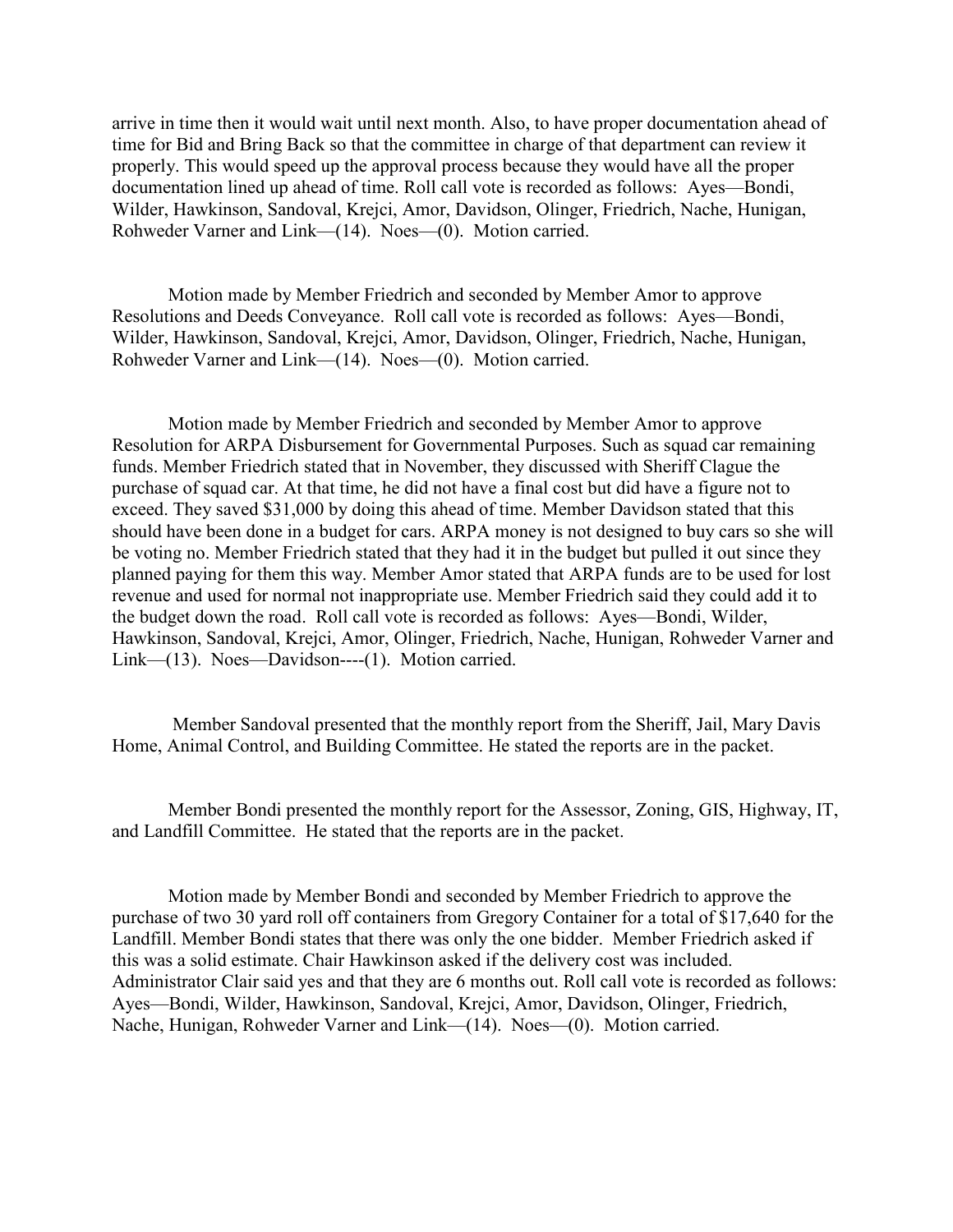arrive in time then it would wait until next month. Also, to have proper documentation ahead of time for Bid and Bring Back so that the committee in charge of that department can review it properly. This would speed up the approval process because they would have all the proper documentation lined up ahead of time. Roll call vote is recorded as follows: Ayes—Bondi, Wilder, Hawkinson, Sandoval, Krejci, Amor, Davidson, Olinger, Friedrich, Nache, Hunigan, Rohweder Varner and Link—(14). Noes—(0). Motion carried.

Motion made by Member Friedrich and seconded by Member Amor to approve Resolutions and Deeds Conveyance. Roll call vote is recorded as follows: Ayes—Bondi, Wilder, Hawkinson, Sandoval, Krejci, Amor, Davidson, Olinger, Friedrich, Nache, Hunigan, Rohweder Varner and Link—(14). Noes—(0). Motion carried.

Motion made by Member Friedrich and seconded by Member Amor to approve Resolution for ARPA Disbursement for Governmental Purposes. Such as squad car remaining funds. Member Friedrich stated that in November, they discussed with Sheriff Clague the purchase of squad car. At that time, he did not have a final cost but did have a figure not to exceed. They saved \$31,000 by doing this ahead of time. Member Davidson stated that this should have been done in a budget for cars. ARPA money is not designed to buy cars so she will be voting no. Member Friedrich stated that they had it in the budget but pulled it out since they planned paying for them this way. Member Amor stated that ARPA funds are to be used for lost revenue and used for normal not inappropriate use. Member Friedrich said they could add it to the budget down the road. Roll call vote is recorded as follows: Ayes—Bondi, Wilder, Hawkinson, Sandoval, Krejci, Amor, Olinger, Friedrich, Nache, Hunigan, Rohweder Varner and Link—(13). Noes—Davidson----(1). Motion carried.

Member Sandoval presented that the monthly report from the Sheriff, Jail, Mary Davis Home, Animal Control, and Building Committee. He stated the reports are in the packet.

Member Bondi presented the monthly report for the Assessor, Zoning, GIS, Highway, IT, and Landfill Committee. He stated that the reports are in the packet.

Motion made by Member Bondi and seconded by Member Friedrich to approve the purchase of two 30 yard roll off containers from Gregory Container for a total of \$17,640 for the Landfill. Member Bondi states that there was only the one bidder. Member Friedrich asked if this was a solid estimate. Chair Hawkinson asked if the delivery cost was included. Administrator Clair said yes and that they are 6 months out. Roll call vote is recorded as follows: Ayes—Bondi, Wilder, Hawkinson, Sandoval, Krejci, Amor, Davidson, Olinger, Friedrich, Nache, Hunigan, Rohweder Varner and Link—(14). Noes—(0). Motion carried.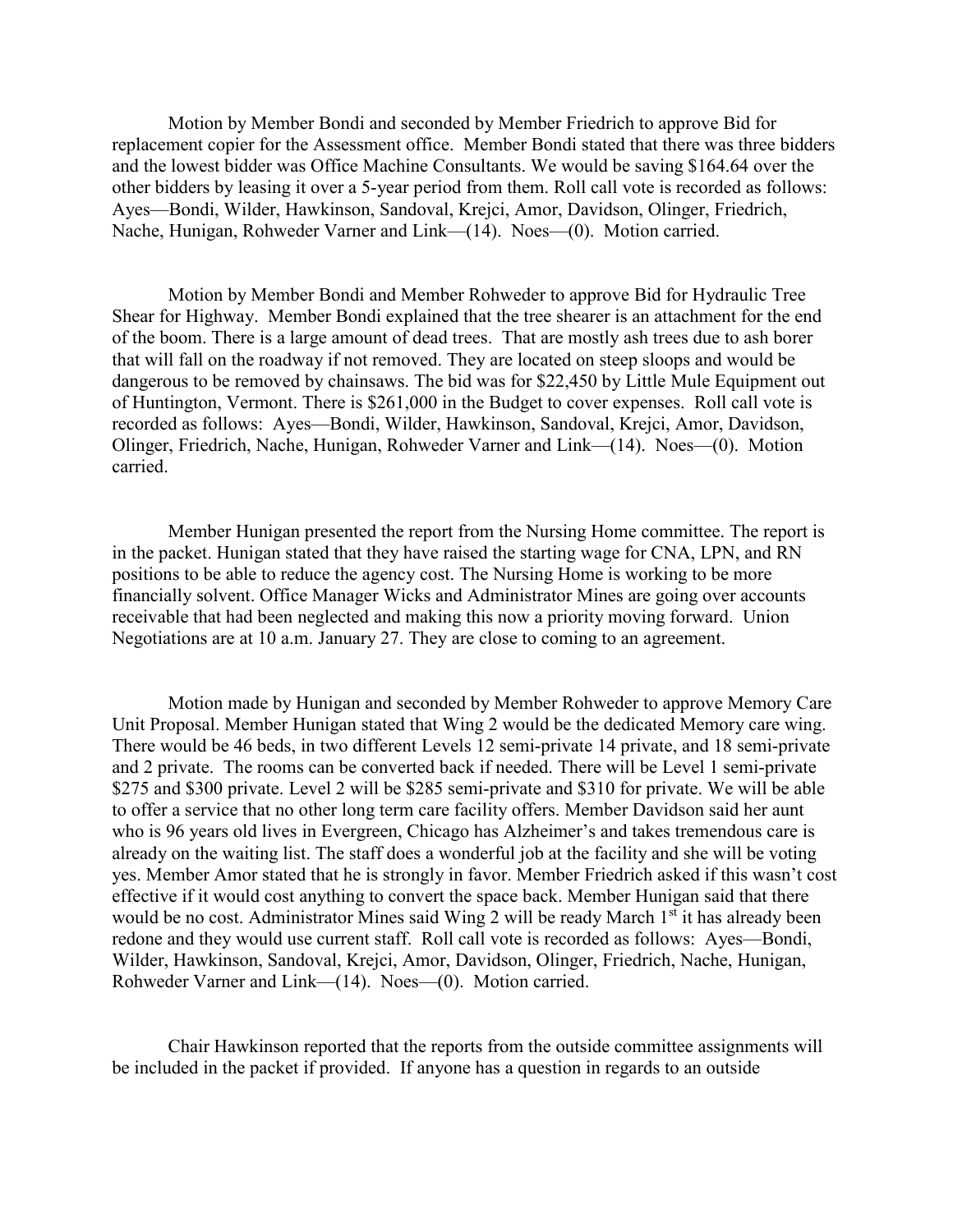Motion by Member Bondi and seconded by Member Friedrich to approve Bid for replacement copier for the Assessment office. Member Bondi stated that there was three bidders and the lowest bidder was Office Machine Consultants. We would be saving \$164.64 over the other bidders by leasing it over a 5-year period from them. Roll call vote is recorded as follows: Ayes—Bondi, Wilder, Hawkinson, Sandoval, Krejci, Amor, Davidson, Olinger, Friedrich, Nache, Hunigan, Rohweder Varner and Link—(14). Noes—(0). Motion carried.

Motion by Member Bondi and Member Rohweder to approve Bid for Hydraulic Tree Shear for Highway. Member Bondi explained that the tree shearer is an attachment for the end of the boom. There is a large amount of dead trees. That are mostly ash trees due to ash borer that will fall on the roadway if not removed. They are located on steep sloops and would be dangerous to be removed by chainsaws. The bid was for \$22,450 by Little Mule Equipment out of Huntington, Vermont. There is \$261,000 in the Budget to cover expenses. Roll call vote is recorded as follows: Ayes—Bondi, Wilder, Hawkinson, Sandoval, Krejci, Amor, Davidson, Olinger, Friedrich, Nache, Hunigan, Rohweder Varner and Link—(14). Noes—(0). Motion carried.

Member Hunigan presented the report from the Nursing Home committee. The report is in the packet. Hunigan stated that they have raised the starting wage for CNA, LPN, and RN positions to be able to reduce the agency cost. The Nursing Home is working to be more financially solvent. Office Manager Wicks and Administrator Mines are going over accounts receivable that had been neglected and making this now a priority moving forward. Union Negotiations are at 10 a.m. January 27. They are close to coming to an agreement.

Motion made by Hunigan and seconded by Member Rohweder to approve Memory Care Unit Proposal. Member Hunigan stated that Wing 2 would be the dedicated Memory care wing. There would be 46 beds, in two different Levels 12 semi-private 14 private, and 18 semi-private and 2 private. The rooms can be converted back if needed. There will be Level 1 semi-private \$275 and \$300 private. Level 2 will be \$285 semi-private and \$310 for private. We will be able to offer a service that no other long term care facility offers. Member Davidson said her aunt who is 96 years old lives in Evergreen, Chicago has Alzheimer's and takes tremendous care is already on the waiting list. The staff does a wonderful job at the facility and she will be voting yes. Member Amor stated that he is strongly in favor. Member Friedrich asked if this wasn't cost effective if it would cost anything to convert the space back. Member Hunigan said that there would be no cost. Administrator Mines said Wing 2 will be ready March 1<sup>st</sup> it has already been redone and they would use current staff. Roll call vote is recorded as follows: Ayes—Bondi, Wilder, Hawkinson, Sandoval, Krejci, Amor, Davidson, Olinger, Friedrich, Nache, Hunigan, Rohweder Varner and Link—(14). Noes—(0). Motion carried.

Chair Hawkinson reported that the reports from the outside committee assignments will be included in the packet if provided. If anyone has a question in regards to an outside